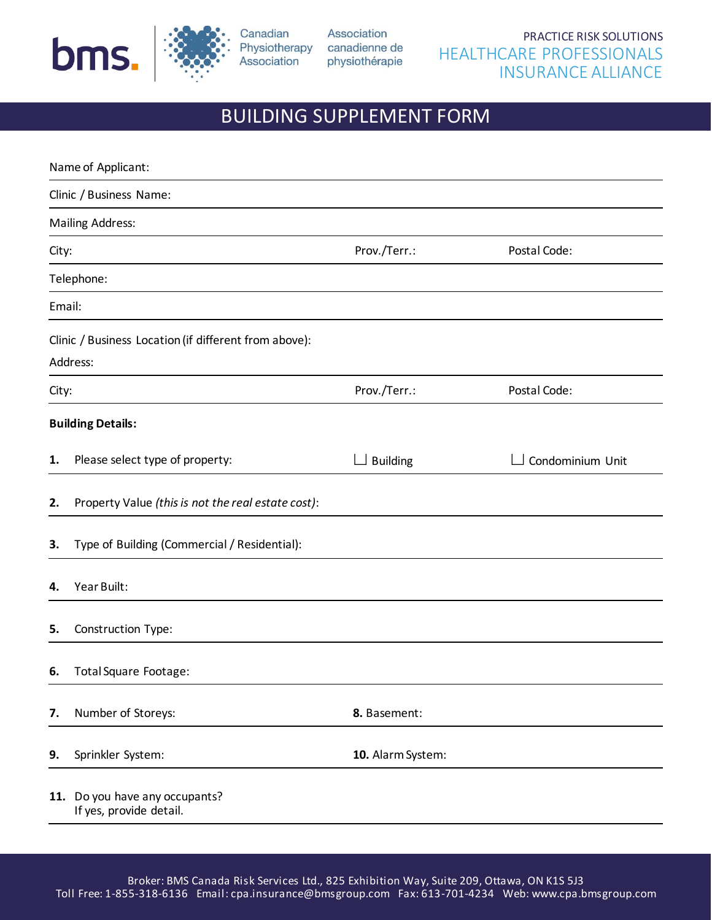



Canadian Association Physiotherapy canadienne de Association physiothérapie

## BUILDING SUPPLEMENT FORM

|        | Name of Applicant:                                                |                   |                  |
|--------|-------------------------------------------------------------------|-------------------|------------------|
|        | Clinic / Business Name:                                           |                   |                  |
|        | <b>Mailing Address:</b>                                           |                   |                  |
| City:  |                                                                   | Prov./Terr.:      | Postal Code:     |
|        | Telephone:                                                        |                   |                  |
| Email: |                                                                   |                   |                  |
|        | Clinic / Business Location (if different from above):<br>Address: |                   |                  |
| City:  |                                                                   | Prov./Terr.:      | Postal Code:     |
|        | <b>Building Details:</b>                                          |                   |                  |
| 1.     | Please select type of property:                                   | <b>Building</b>   | Condominium Unit |
| 2.     | Property Value (this is not the real estate cost):                |                   |                  |
| 3.     | Type of Building (Commercial / Residential):                      |                   |                  |
| 4.     | Year Built:                                                       |                   |                  |
| 5.     | Construction Type:                                                |                   |                  |
| 6.     | Total Square Footage:                                             |                   |                  |
| 7.     | Number of Storeys:                                                | 8. Basement:      |                  |
| 9.     | Sprinkler System:                                                 | 10. Alarm System: |                  |
|        | 11. Do you have any occupants?<br>If yes, provide detail.         |                   |                  |